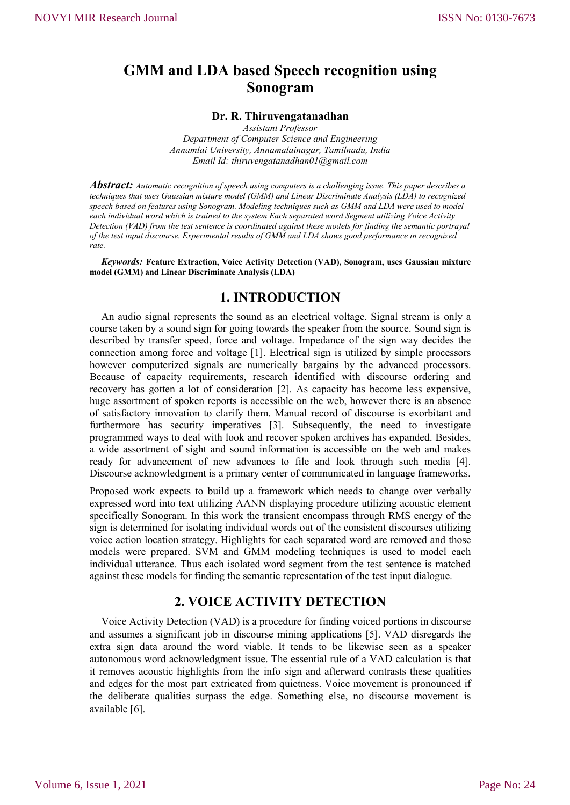# **GMM and LDA based Speech recognition using Sonogram**

#### **Dr. R. Thiruvengatanadhan**

*Assistant Professor Department of Computer Science and Engineering Annamlai University, Annamalainagar, Tamilnadu, India Email Id: thiruvengatanadhan01@gmail.com*

*Abstract: Automatic recognition of speech using computers is a challenging issue. This paper describes a techniques that uses Gaussian mixture model (GMM) and Linear Discriminate Analysis (LDA) to recognized speech based on features using Sonogram. Modeling techniques such as GMM and LDA were used to model each individual word which is trained to the system Each separated word Segment utilizing Voice Activity Detection (VAD) from the test sentence is coordinated against these models for finding the semantic portrayal of the test input discourse. Experimental results of GMM and LDA shows good performance in recognized rate.*

*Keywords:* **Feature Extraction, Voice Activity Detection (VAD), Sonogram, uses Gaussian mixture model (GMM) and Linear Discriminate Analysis (LDA)**

#### **1. INTRODUCTION**

An audio signal represents the sound as an electrical voltage. Signal stream is only a course taken by a sound sign for going towards the speaker from the source. Sound sign is described by transfer speed, force and voltage. Impedance of the sign way decides the connection among force and voltage [1]. Electrical sign is utilized by simple processors however computerized signals are numerically bargains by the advanced processors. Because of capacity requirements, research identified with discourse ordering and recovery has gotten a lot of consideration [2]. As capacity has become less expensive, huge assortment of spoken reports is accessible on the web, however there is an absence of satisfactory innovation to clarify them. Manual record of discourse is exorbitant and furthermore has security imperatives [3]. Subsequently, the need to investigate programmed ways to deal with look and recover spoken archives has expanded. Besides, a wide assortment of sight and sound information is accessible on the web and makes ready for advancement of new advances to file and look through such media [4]. Discourse acknowledgment is a primary center of communicated in language frameworks.

Proposed work expects to build up a framework which needs to change over verbally expressed word into text utilizing AANN displaying procedure utilizing acoustic element specifically Sonogram. In this work the transient encompass through RMS energy of the sign is determined for isolating individual words out of the consistent discourses utilizing voice action location strategy. Highlights for each separated word are removed and those models were prepared. SVM and GMM modeling techniques is used to model each individual utterance. Thus each isolated word segment from the test sentence is matched against these models for finding the semantic representation of the test input dialogue.

## **2. VOICE ACTIVITY DETECTION**

Voice Activity Detection (VAD) is a procedure for finding voiced portions in discourse and assumes a significant job in discourse mining applications [5]. VAD disregards the extra sign data around the word viable. It tends to be likewise seen as a speaker autonomous word acknowledgment issue. The essential rule of a VAD calculation is that it removes acoustic highlights from the info sign and afterward contrasts these qualities and edges for the most part extricated from quietness. Voice movement is pronounced if the deliberate qualities surpass the edge. Something else, no discourse movement is available [6].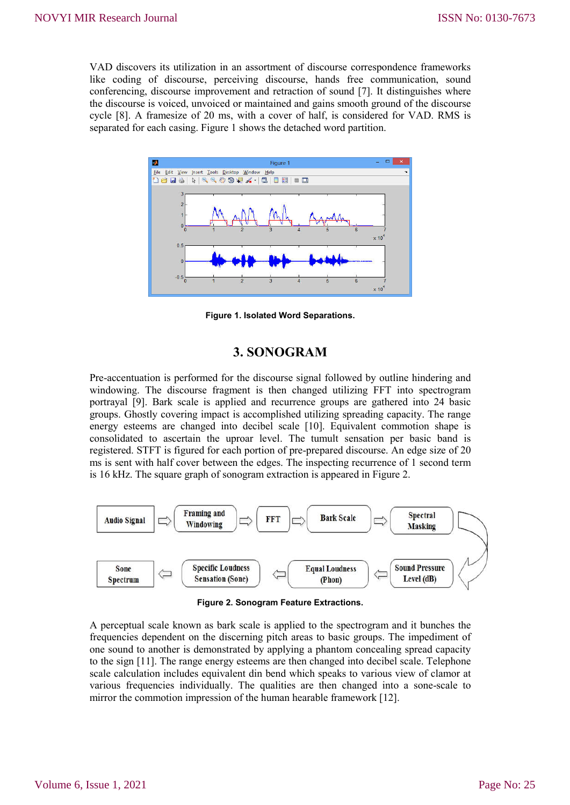VAD discovers its utilization in an assortment of discourse correspondence frameworks like coding of discourse, perceiving discourse, hands free communication, sound conferencing, discourse improvement and retraction of sound [7]. It distinguishes where the discourse is voiced, unvoiced or maintained and gains smooth ground of the discourse cycle [8]. A framesize of 20 ms, with a cover of half, is considered for VAD. RMS is separated for each casing. Figure 1 shows the detached word partition.



**Figure 1. Isolated Word Separations.**

# **3. SONOGRAM**

Pre-accentuation is performed for the discourse signal followed by outline hindering and windowing. The discourse fragment is then changed utilizing FFT into spectrogram portrayal [9]. Bark scale is applied and recurrence groups are gathered into 24 basic groups. Ghostly covering impact is accomplished utilizing spreading capacity. The range energy esteems are changed into decibel scale [10]. Equivalent commotion shape is consolidated to ascertain the uproar level. The tumult sensation per basic band is registered. STFT is figured for each portion of pre-prepared discourse. An edge size of 20 ms is sent with half cover between the edges. The inspecting recurrence of 1 second term is 16 kHz. The square graph of sonogram extraction is appeared in Figure 2.



**Figure 2. Sonogram Feature Extractions.**

A perceptual scale known as bark scale is applied to the spectrogram and it bunches the frequencies dependent on the discerning pitch areas to basic groups. The impediment of one sound to another is demonstrated by applying a phantom concealing spread capacity to the sign [11]. The range energy esteems are then changed into decibel scale. Telephone scale calculation includes equivalent din bend which speaks to various view of clamor at various frequencies individually. The qualities are then changed into a sone-scale to mirror the commotion impression of the human hearable framework [12].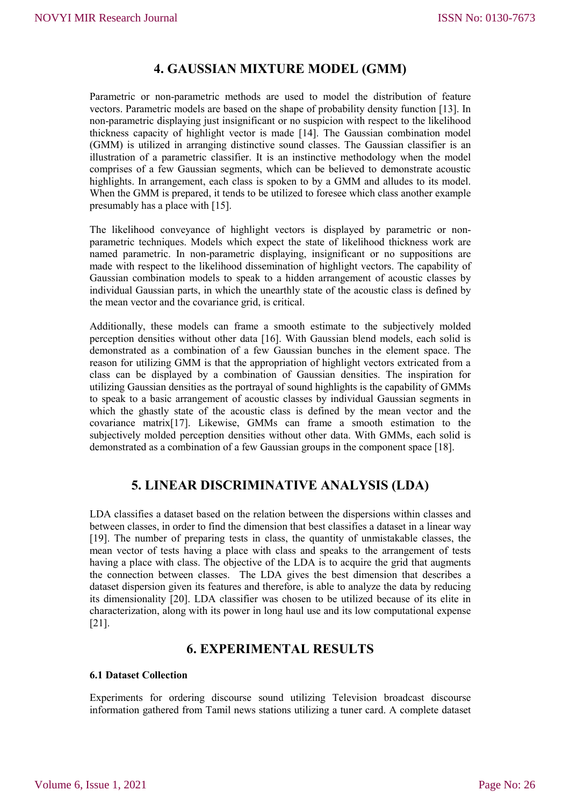# **4. GAUSSIAN MIXTURE MODEL (GMM)**

Parametric or non-parametric methods are used to model the distribution of feature vectors. Parametric models are based on the shape of probability density function [13]. In non-parametric displaying just insignificant or no suspicion with respect to the likelihood thickness capacity of highlight vector is made [14]. The Gaussian combination model (GMM) is utilized in arranging distinctive sound classes. The Gaussian classifier is an illustration of a parametric classifier. It is an instinctive methodology when the model comprises of a few Gaussian segments, which can be believed to demonstrate acoustic highlights. In arrangement, each class is spoken to by a GMM and alludes to its model. When the GMM is prepared, it tends to be utilized to foresee which class another example presumably has a place with [15].

The likelihood conveyance of highlight vectors is displayed by parametric or nonparametric techniques. Models which expect the state of likelihood thickness work are named parametric. In non-parametric displaying, insignificant or no suppositions are made with respect to the likelihood dissemination of highlight vectors. The capability of Gaussian combination models to speak to a hidden arrangement of acoustic classes by individual Gaussian parts, in which the unearthly state of the acoustic class is defined by the mean vector and the covariance grid, is critical.

Additionally, these models can frame a smooth estimate to the subjectively molded perception densities without other data [16]. With Gaussian blend models, each solid is demonstrated as a combination of a few Gaussian bunches in the element space. The reason for utilizing GMM is that the appropriation of highlight vectors extricated from a class can be displayed by a combination of Gaussian densities. The inspiration for utilizing Gaussian densities as the portrayal of sound highlights is the capability of GMMs to speak to a basic arrangement of acoustic classes by individual Gaussian segments in which the ghastly state of the acoustic class is defined by the mean vector and the covariance matrix[17]. Likewise, GMMs can frame a smooth estimation to the subjectively molded perception densities without other data. With GMMs, each solid is demonstrated as a combination of a few Gaussian groups in the component space [18].

## **5. LINEAR DISCRIMINATIVE ANALYSIS (LDA)**

LDA classifies a dataset based on the relation between the dispersions within classes and between classes, in order to find the dimension that best classifies a dataset in a linear way [19]. The number of preparing tests in class, the quantity of unmistakable classes, the mean vector of tests having a place with class and speaks to the arrangement of tests having a place with class. The objective of the LDA is to acquire the grid that augments the connection between classes. The LDA gives the best dimension that describes a dataset dispersion given its features and therefore, is able to analyze the data by reducing its dimensionality [20]. LDA classifier was chosen to be utilized because of its elite in characterization, along with its power in long haul use and its low computational expense [21].

### **6. EXPERIMENTAL RESULTS**

#### **6.1 Dataset Collection**

Experiments for ordering discourse sound utilizing Television broadcast discourse information gathered from Tamil news stations utilizing a tuner card. A complete dataset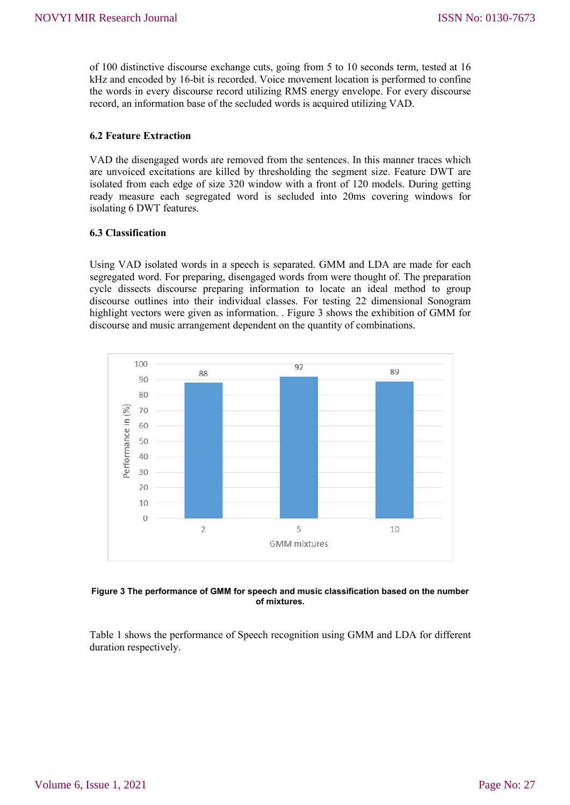of 100 distinctive discourse exchange cuts, going from 5 to 10 seconds term, tested at 16 kHz and encoded by 16-bit is recorded. Voice movement location is performed to confine the words in every discourse record utilizing RMS energy envelope. For every discourse record, an information base of the secluded words is acquired utilizing VAD.

#### **6.2 Feature Extraction**

VAD the disengaged words are removed from the sentences. In this manner traces which are unvoiced excitations are killed by thresholding the segment size. Feature DWT are isolated from each edge of size 320 window with a front of 120 models. During getting ready measure each segregated word is secluded into 20ms covering windows for isolating 6 DWT features.

#### **6.3 Classification**

Using VAD isolated words in a speech is separated. GMM and LDA are made for each segregated word. For preparing, disengaged words from were thought of. The preparation cycle dissects discourse preparing information to locate an ideal method to group discourse outlines into their individual classes. For testing 22 dimensional Sonogram highlight vectors were given as information. . Figure 3 shows the exhibition of GMM for discourse and music arrangement dependent on the quantity of combinations.



#### **Figure 3 The performance of GMM for speech and music classification based on the number of mixtures.**

Table 1 shows the performance of Speech recognition using GMM and LDA for different duration respectively.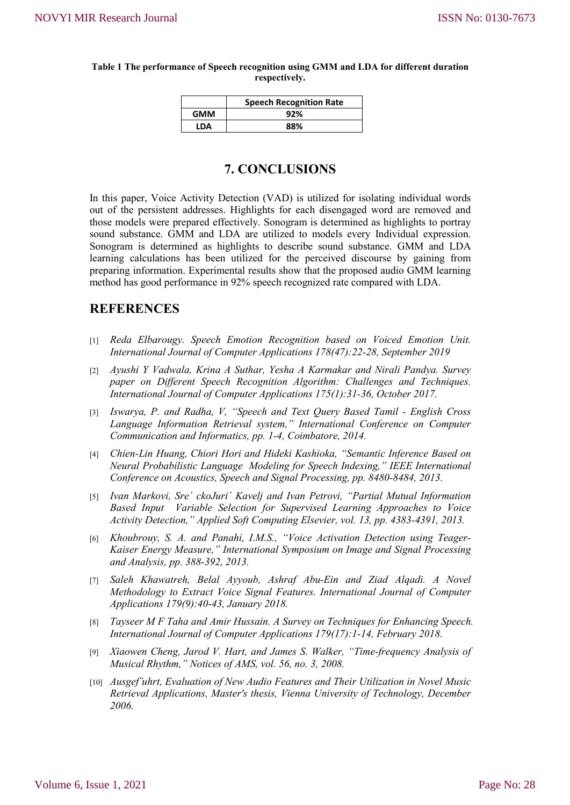#### **Table 1 The performance of Speech recognition using GMM and LDA for different duration respectively.**

|      | <b>Speech Recognition Rate</b> |
|------|--------------------------------|
| GMM  | 92%                            |
| I DA | 88%                            |

# **7. CONCLUSIONS**

In this paper, Voice Activity Detection (VAD) is utilized for isolating individual words out of the persistent addresses. Highlights for each disengaged word are removed and those models were prepared effectively. Sonogram is determined as highlights to portray sound substance. GMM and LDA are utilized to models every Individual expression. Sonogram is determined as highlights to describe sound substance. GMM and LDA learning calculations has been utilized for the perceived discourse by gaining from preparing information. Experimental results show that the proposed audio GMM learning method has good performance in 92% speech recognized rate compared with LDA.

### **REFERENCES**

- [1] *Reda Elbarougy. Speech Emotion Recognition based on Voiced Emotion Unit. International Journal of Computer Applications 178(47):22-28, September 2019*
- [2] *Ayushi Y Vadwala, Krina A Suthar, Yesha A Karmakar and Nirali Pandya. Survey paper on Different Speech Recognition Algorithm: Challenges and Techniques. International Journal of Computer Applications 175(1):31-36, October 2017.*
- [3] *Iswarya, P. and Radha, V, "Speech and Text Query Based Tamil - English Cross*  Language Information Retrieval system," International Conference on Computer *Communication and Informatics, pp. 1-4, Coimbatore, 2014.*
- [4] *Chien-Lin Huang, Chiori Hori and Hideki Kashioka, "Semantic Inference Based on Neural Probabilistic Language Modeling for Speech Indexing," IEEE International Conference on Acoustics, Speech and Signal Processing, pp. 8480-8484, 2013.*
- [5] *Ivan Markovi, Sre´ ckoJuri´ Kavelj and Ivan Petrovi, "Partial Mutual Information Based Input Variable Selection for Supervised Learning Approaches to Voice Activity Detection," Applied Soft Computing Elsevier, vol. 13, pp. 4383-4391, 2013.*
- [6] *Khoubrouy, S. A. and Panahi, I.M.S., "Voice Activation Detection using Teager-Kaiser Energy Measure," International Symposium on Image and Signal Processing and Analysis, pp. 388-392, 2013.*
- [7] *Saleh Khawatreh, Belal Ayyoub, Ashraf Abu-Ein and Ziad Alqadi. A Novel Methodology to Extract Voice Signal Features. International Journal of Computer Applications 179(9):40-43, January 2018.*
- [8] *Tayseer M F Taha and Amir Hussain. A Survey on Techniques for Enhancing Speech. International Journal of Computer Applications 179(17):1-14, February 2018.*
- [9] *Xiaowen Cheng, Jarod V. Hart, and James S. Walker, "Time-frequency Analysis of Musical Rhythm," Notices of AMS, vol. 56, no. 3, 2008.*
- [10] *Ausgef¨uhrt, Evaluation of New Audio Features and Their Utilization in Novel Music Retrieval Applications, Master's thesis, Vienna University of Technology, December 2006.*